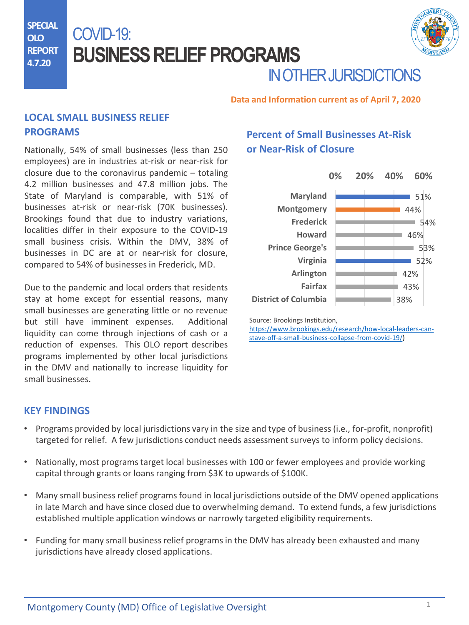**SPECIAL OLO REPORT 4.7.20**

# COVID-19: **BUSINESS RELIEF PROGRAMS**



# IN OTHER JURISDICTIONS

#### **Data and Information current as of April 7, 2020**

## **LOCAL SMALL BUSINESS RELIEF PROGRAMS**

Nationally, 54% of small businesses (less than 250 employees) are in industries at-risk or near-risk for closure due to the coronavirus pandemic – totaling 4.2 million businesses and 47.8 million jobs. The State of Maryland is comparable, with 51% of businesses at-risk or near-risk (70K businesses). Brookings found that due to industry variations, localities differ in their exposure to the COVID-19 small business crisis. Within the DMV, 38% of businesses in DC are at or near-risk for closure, compared to 54% of businesses in Frederick, MD.

Due to the pandemic and local orders that residents stay at home except for essential reasons, many small businesses are generating little or no revenue but still have imminent expenses. Additional liquidity can come through injections of cash or a reduction of expenses. This OLO report describes programs implemented by other local jurisdictions in the DMV and nationally to increase liquidity for small businesses.

## **Percent of Small Businesses At-Risk or Near-Risk of Closure**

|                             | 0% | 20% | 40% | 60% |
|-----------------------------|----|-----|-----|-----|
| <b>Maryland</b>             |    |     |     | 51% |
| <b>Montgomery</b>           |    |     |     | 44% |
| <b>Frederick</b>            |    |     |     | 54% |
| <b>Howard</b>               |    |     |     | 46% |
| <b>Prince George's</b>      |    |     |     | 53% |
| Virginia                    |    |     |     | 52% |
| <b>Arlington</b>            |    |     |     | 42% |
| Fairfax                     |    |     |     | 43% |
| <b>District of Columbia</b> |    |     | 38% |     |

Source: Brookings Institution,

[https://www.brookings.edu/research/how-local-leaders-can](https://www.brookings.edu/research/how-local-leaders-can-stave-off-a-small-business-collapse-from-covid-19/)stave-off-a-small-business-collapse-from-covid-19/)

#### **KEY FINDINGS**

- Programs provided by local jurisdictions vary in the size and type of business (i.e., for-profit, nonprofit) targeted [for relief. A few jurisdictions conduct needs assessment surveys t](https://www.dllr.state.md.us/employment/clmtguide/uiclmtpamphlet.pdf)o inform policy decisions.
- Nationally, most programs target local businesses with 100 or fewer employees and provide working capital through grants or loans ranging from \$3K to upwards of \$100K.
- Many small business relief programs found in local jurisdictions outside of the DMV opened applications in late March and have since closed due to overwhelming demand. To extend funds, a few jurisdictions established multiple application windows or narrowly targeted eligibility requirements.
- Funding [for many small business relief programs in the DMV has](https://www.dllr.state.md.us/employment/uicovidaswfaqs.shtml) already been exhausted and many jurisdictions have already closed applications.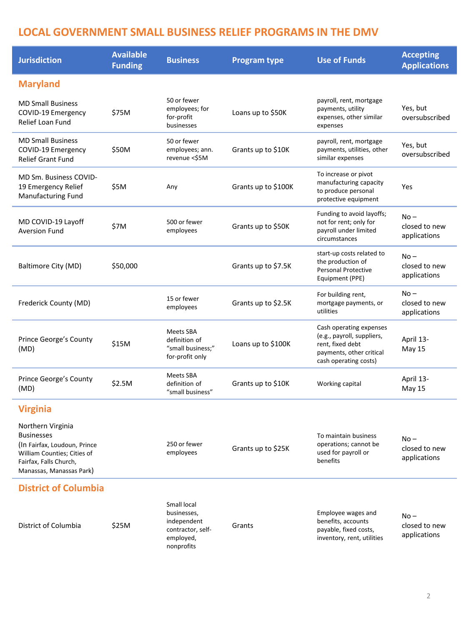## **LOCAL GOVERNMENT SMALL BUSINESS RELIEF PROGRAMS IN THE DMV**

| <b>Jurisdiction</b>                                                                                                                                  | <b>Available</b><br><b>Funding</b> | <b>Business</b>                                                                           | <b>Program type</b> | <b>Use of Funds</b>                                                                                                            | <b>Accepting</b><br><b>Applications</b> |
|------------------------------------------------------------------------------------------------------------------------------------------------------|------------------------------------|-------------------------------------------------------------------------------------------|---------------------|--------------------------------------------------------------------------------------------------------------------------------|-----------------------------------------|
| <b>Maryland</b>                                                                                                                                      |                                    |                                                                                           |                     |                                                                                                                                |                                         |
| <b>MD Small Business</b><br>COVID-19 Emergency<br>Relief Loan Fund                                                                                   | \$75M                              | 50 or fewer<br>employees; for<br>for-profit<br>businesses                                 | Loans up to \$50K   | payroll, rent, mortgage<br>payments, utility<br>expenses, other similar<br>expenses                                            | Yes, but<br>oversubscribed              |
| <b>MD Small Business</b><br>COVID-19 Emergency<br><b>Relief Grant Fund</b>                                                                           | \$50M                              | 50 or fewer<br>employees; ann.<br>revenue <\$5M                                           | Grants up to \$10K  | payroll, rent, mortgage<br>payments, utilities, other<br>similar expenses                                                      | Yes, but<br>oversubscribed              |
| MD Sm. Business COVID-<br>19 Emergency Relief<br>Manufacturing Fund                                                                                  | \$5M                               | Any                                                                                       | Grants up to \$100K | To increase or pivot<br>manufacturing capacity<br>to produce personal<br>protective equipment                                  | Yes                                     |
| MD COVID-19 Layoff<br><b>Aversion Fund</b>                                                                                                           | \$7M                               | 500 or fewer<br>employees                                                                 | Grants up to \$50K  | Funding to avoid layoffs;<br>not for rent; only for<br>payroll under limited<br>circumstances                                  | $No -$<br>closed to new<br>applications |
| Baltimore City (MD)                                                                                                                                  | \$50,000                           |                                                                                           | Grants up to \$7.5K | start-up costs related to<br>the production of<br><b>Personal Protective</b><br>Equipment (PPE)                                | No –<br>closed to new<br>applications   |
| Frederick County (MD)                                                                                                                                |                                    | 15 or fewer<br>employees                                                                  | Grants up to \$2.5K | For building rent,<br>mortgage payments, or<br>utilities                                                                       | No –<br>closed to new<br>applications   |
| Prince George's County<br>(MD)                                                                                                                       | \$15M                              | Meets SBA<br>definition of<br>"small business;"<br>for-profit only                        | Loans up to \$100K  | Cash operating expenses<br>(e.g., payroll, suppliers,<br>rent, fixed debt<br>payments, other critical<br>cash operating costs) | April 13-<br><b>May 15</b>              |
| Prince George's County<br>(MD)                                                                                                                       | \$2.5M                             | Meets SBA<br>definition of<br>"small business"                                            | Grants up to \$10K  | Working capital                                                                                                                | April 13-<br>May 15                     |
| <b>Virginia</b>                                                                                                                                      |                                    |                                                                                           |                     |                                                                                                                                |                                         |
| Northern Virginia<br>Businesses<br>(In Fairfax, Loudoun, Prince<br>William Counties; Cities of<br>Fairfax, Falls Church,<br>Manassas, Manassas Park) |                                    | 250 or fewer<br>employees                                                                 | Grants up to \$25K  | To maintain business<br>operations; cannot be<br>used for payroll or<br>benefits                                               | No –<br>closed to new<br>applications   |
| <b>District of Columbia</b>                                                                                                                          |                                    |                                                                                           |                     |                                                                                                                                |                                         |
| District of Columbia                                                                                                                                 | \$25M                              | Small local<br>businesses,<br>independent<br>contractor, self-<br>employed,<br>nonprofits | Grants              | Employee wages and<br>benefits, accounts<br>payable, fixed costs,<br>inventory, rent, utilities                                | No –<br>closed to new<br>applications   |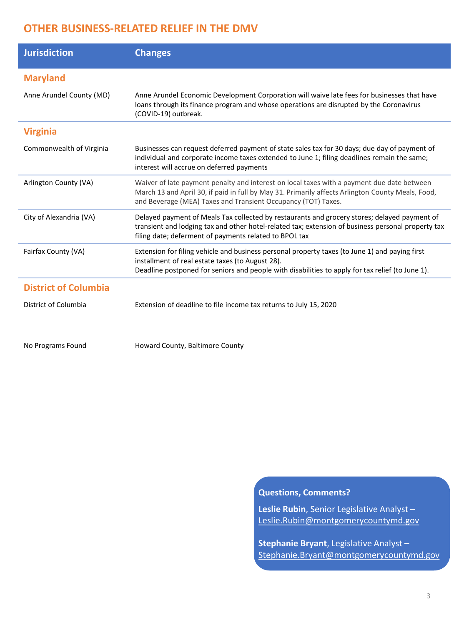## **OTHER BUSINESS-RELATED RELIEF IN THE DMV**

| <b>Jurisdiction</b>         | <b>Changes</b>                                                                                                                                                                                                                                                   |
|-----------------------------|------------------------------------------------------------------------------------------------------------------------------------------------------------------------------------------------------------------------------------------------------------------|
| <b>Maryland</b>             |                                                                                                                                                                                                                                                                  |
| Anne Arundel County (MD)    | Anne Arundel Economic Development Corporation will waive late fees for businesses that have<br>loans through its finance program and whose operations are disrupted by the Coronavirus<br>(COVID-19) outbreak.                                                   |
| <b>Virginia</b>             |                                                                                                                                                                                                                                                                  |
| Commonwealth of Virginia    | Businesses can request deferred payment of state sales tax for 30 days; due day of payment of<br>individual and corporate income taxes extended to June 1; filing deadlines remain the same;<br>interest will accrue on deferred payments                        |
| Arlington County (VA)       | Waiver of late payment penalty and interest on local taxes with a payment due date between<br>March 13 and April 30, if paid in full by May 31. Primarily affects Arlington County Meals, Food,<br>and Beverage (MEA) Taxes and Transient Occupancy (TOT) Taxes. |
| City of Alexandria (VA)     | Delayed payment of Meals Tax collected by restaurants and grocery stores; delayed payment of<br>transient and lodging tax and other hotel-related tax; extension of business personal property tax<br>filing date; deferment of payments related to BPOL tax     |
| Fairfax County (VA)         | Extension for filing vehicle and business personal property taxes (to June 1) and paying first<br>installment of real estate taxes (to August 28).<br>Deadline postponed for seniors and people with disabilities to apply for tax relief (to June 1).           |
| <b>District of Columbia</b> |                                                                                                                                                                                                                                                                  |
| District of Columbia        | Extension of deadline to file income tax returns to July 15, 2020                                                                                                                                                                                                |

No Programs Found **Howard County, Baltimore County** 

#### **Questions, Comments?**

**[L](https://waysandmeans.house.gov/sites/democrats.waysandmeans.house.gov/files/documents/UC%20FAQ%20CARES%20Act.pdf)eslie Rubin**, Senior Legislative Analyst – [Leslie.Rubin@montgomerycountymd.gov](mailto:leslie.rubin@montgomerycountymd.gov?subject=COVID-19%20Unemployment%20Resources)

**Stephanie Bryant**, Legislative Analyst – [Stephanie.Bryant@montgomerycountymd.gov](mailto:stephanie.bryant@montgomerycountymd.gov?subject=COVID-19%20Unemployment%20Resources)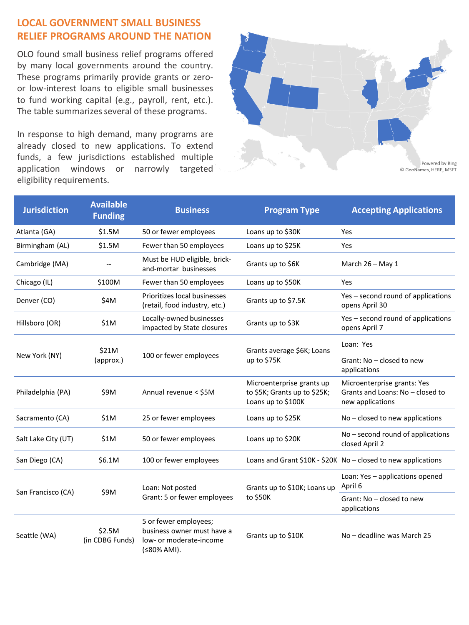## **LOCAL GOVERNMENT SMALL BUSINESS RELIEF PROGRAMS AROUND THE NATION**

OLO found small business relief programs offered by many local governments around the country. These programs primarily provide grants or zeroor low-interest loans to eligible small businesses to fund working capital (e.g., payroll, rent, etc.). The table summarizes several of these programs.

In response to high demand, many programs are already closed to new applications. To extend funds, a few jurisdictions established multiple application windows or narrowly targeted eligibility requirements.



| <b>Jurisdiction</b>                 | <b>Available</b><br><b>Funding</b> | <b>Business</b>                                                                               | <b>Program Type</b>                                                             | <b>Accepting Applications</b>                                                       |
|-------------------------------------|------------------------------------|-----------------------------------------------------------------------------------------------|---------------------------------------------------------------------------------|-------------------------------------------------------------------------------------|
| Atlanta (GA)                        | \$1.5M                             | 50 or fewer employees                                                                         | Loans up to \$30K                                                               | Yes                                                                                 |
| Birmingham (AL)                     | \$1.5M                             | Fewer than 50 employees                                                                       | Loans up to \$25K                                                               | Yes                                                                                 |
| Cambridge (MA)                      |                                    | Must be HUD eligible, brick-<br>and-mortar businesses                                         | Grants up to \$6K                                                               | March 26 - May 1                                                                    |
| Chicago (IL)                        | \$100M                             | Fewer than 50 employees                                                                       | Loans up to \$50K                                                               | Yes                                                                                 |
| Denver (CO)                         | \$4M                               | Prioritizes local businesses<br>(retail, food industry, etc.)                                 | Grants up to \$7.5K                                                             | Yes - second round of applications<br>opens April 30                                |
| Hillsboro (OR)                      | \$1M                               | Locally-owned businesses<br>impacted by State closures                                        | Grants up to \$3K                                                               | Yes – second round of applications<br>opens April 7                                 |
| \$21M<br>New York (NY)<br>(approx.) |                                    | 100 or fewer employees                                                                        | Grants average \$6K; Loans<br>up to \$75K                                       | Loan: Yes                                                                           |
|                                     |                                    |                                                                                               |                                                                                 | Grant: No - closed to new<br>applications                                           |
| Philadelphia (PA)                   | \$9M                               | Annual revenue < \$5M                                                                         | Microenterprise grants up<br>to \$5K; Grants up to \$25K;<br>Loans up to \$100K | Microenterprise grants: Yes<br>Grants and Loans: No - closed to<br>new applications |
| Sacramento (CA)                     | \$1M                               | 25 or fewer employees                                                                         | Loans up to \$25K                                                               | $No - closed$ to new applications                                                   |
| Salt Lake City (UT)                 | \$1M                               | 50 or fewer employees                                                                         | Loans up to \$20K                                                               | No - second round of applications<br>closed April 2                                 |
| San Diego (CA)                      | \$6.1M                             | 100 or fewer employees                                                                        |                                                                                 | Loans and Grant \$10K - \$20K No - closed to new applications                       |
| \$9M<br>San Francisco (CA)          |                                    | Loan: Not posted<br>Grant: 5 or fewer employees                                               | Grants up to \$10K; Loans up<br>to \$50K                                        | Loan: Yes - applications opened<br>April 6                                          |
|                                     |                                    |                                                                                               |                                                                                 | Grant: No - closed to new<br>applications                                           |
| Seattle (WA)                        | \$2.5M<br>(in CDBG Funds)          | 5 or fewer employees;<br>business owner must have a<br>low- or moderate-income<br>(≤80% AMI). | Grants up to \$10K                                                              | No - deadline was March 25                                                          |